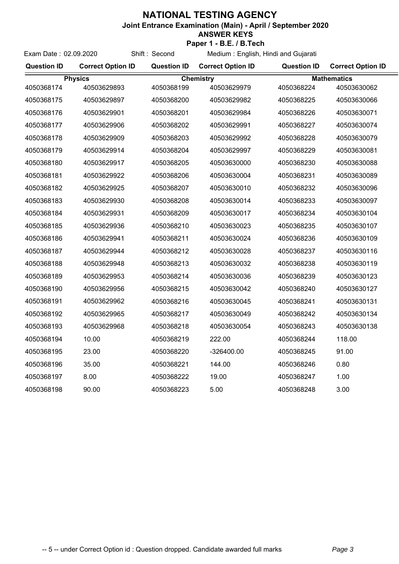## **NATIONAL TESTING AGENCY**

Exam Date : 02.09.2020 Shift : Second

**Joint Entrance Examination (Main) - April / September 2020**

## **ANSWER KEYS**

**Paper 1 - B.E. / B.Tech**

Medium : English, Hindi and Gujarati

| <b>Question ID</b> | <b>Correct Option ID</b> | <b>Question ID</b> | <b>Correct Option ID</b> | <b>Question ID</b> | <b>Correct Option ID</b> |
|--------------------|--------------------------|--------------------|--------------------------|--------------------|--------------------------|
| <b>Physics</b>     |                          | <b>Chemistry</b>   |                          | <b>Mathematics</b> |                          |
| 4050368174         | 40503629893              | 4050368199         | 40503629979              | 4050368224         | 40503630062              |
| 4050368175         | 40503629897              | 4050368200         | 40503629982              | 4050368225         | 40503630066              |
| 4050368176         | 40503629901              | 4050368201         | 40503629984              | 4050368226         | 40503630071              |
| 4050368177         | 40503629906              | 4050368202         | 40503629991              | 4050368227         | 40503630074              |
| 4050368178         | 40503629909              | 4050368203         | 40503629992              | 4050368228         | 40503630079              |
| 4050368179         | 40503629914              | 4050368204         | 40503629997              | 4050368229         | 40503630081              |
| 4050368180         | 40503629917              | 4050368205         | 40503630000              | 4050368230         | 40503630088              |
| 4050368181         | 40503629922              | 4050368206         | 40503630004              | 4050368231         | 40503630089              |
| 4050368182         | 40503629925              | 4050368207         | 40503630010              | 4050368232         | 40503630096              |
| 4050368183         | 40503629930              | 4050368208         | 40503630014              | 4050368233         | 40503630097              |
| 4050368184         | 40503629931              | 4050368209         | 40503630017              | 4050368234         | 40503630104              |
| 4050368185         | 40503629936              | 4050368210         | 40503630023              | 4050368235         | 40503630107              |
| 4050368186         | 40503629941              | 4050368211         | 40503630024              | 4050368236         | 40503630109              |
| 4050368187         | 40503629944              | 4050368212         | 40503630028              | 4050368237         | 40503630116              |
| 4050368188         | 40503629948              | 4050368213         | 40503630032              | 4050368238         | 40503630119              |
| 4050368189         | 40503629953              | 4050368214         | 40503630036              | 4050368239         | 40503630123              |
| 4050368190         | 40503629956              | 4050368215         | 40503630042              | 4050368240         | 40503630127              |
| 4050368191         | 40503629962              | 4050368216         | 40503630045              | 4050368241         | 40503630131              |
| 4050368192         | 40503629965              | 4050368217         | 40503630049              | 4050368242         | 40503630134              |
| 4050368193         | 40503629968              | 4050368218         | 40503630054              | 4050368243         | 40503630138              |
| 4050368194         | 10.00                    | 4050368219         | 222.00                   | 4050368244         | 118.00                   |
| 4050368195         | 23.00                    | 4050368220         | -326400.00               | 4050368245         | 91.00                    |
| 4050368196         | 35.00                    | 4050368221         | 144.00                   | 4050368246         | 0.80                     |
| 4050368197         | 8.00                     | 4050368222         | 19.00                    | 4050368247         | 1.00                     |
| 4050368198         | 90.00                    | 4050368223         | 5.00                     | 4050368248         | 3.00                     |